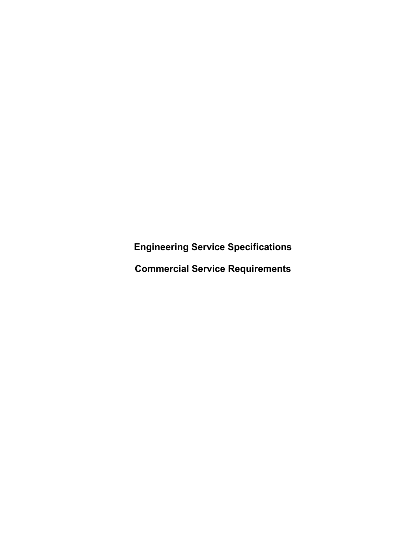**Engineering Service Specifications**

**Commercial Service Requirements**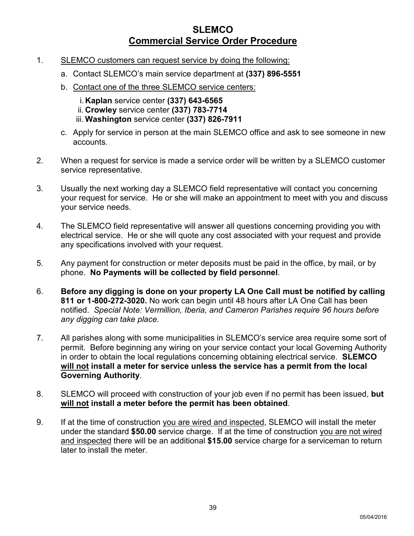# **SLEMCO Commercial Service Order Procedure**

- 1. SLEMCO customers can request service by doing the following:
	- a. Contact SLEMCO's main service department at **(337) 896-5551**
	- b. Contact one of the three SLEMCO service centers:
		- i. **Kaplan** service center **(337) 643-6565** ii. **Crowley** service center **(337) 783-7714** iii. **Washington** service center **(337) 826-7911**
	- c. Apply for service in person at the main SLEMCO office and ask to see someone in new accounts.
- 2. When a request for service is made a service order will be written by a SLEMCO customer service representative.
- 3. Usually the next working day a SLEMCO field representative will contact you concerning your request for service. He or she will make an appointment to meet with you and discuss your service needs.
- 4. The SLEMCO field representative will answer all questions concerning providing you with electrical service. He or she will quote any cost associated with your request and provide any specifications involved with your request.
- 5. Any payment for construction or meter deposits must be paid in the office, by mail, or by phone. **No Payments will be collected by field personnel**.
- 6. **Before any digging is done on your property LA One Call must be notified by calling 811 or 1-800-272-3020.** No work can begin until 48 hours after LA One Call has been notified. *Special Note: Vermillion, Iberia, and Cameron Parishes require 96 hours before any digging can take place.*
- 7. All parishes along with some municipalities in SLEMCO's service area require some sort of permit. Before beginning any wiring on your service contact your local Governing Authority in order to obtain the local regulations concerning obtaining electrical service. **SLEMCO will not install a meter for service unless the service has a permit from the local Governing Authority**.
- 8. SLEMCO will proceed with construction of your job even if no permit has been issued, **but will not install a meter before the permit has been obtained**.
- 9. If at the time of construction you are wired and inspected, SLEMCO will install the meter under the standard **\$50.00** service charge. If at the time of construction you are not wired and inspected there will be an additional **\$15.00** service charge for a serviceman to return later to install the meter.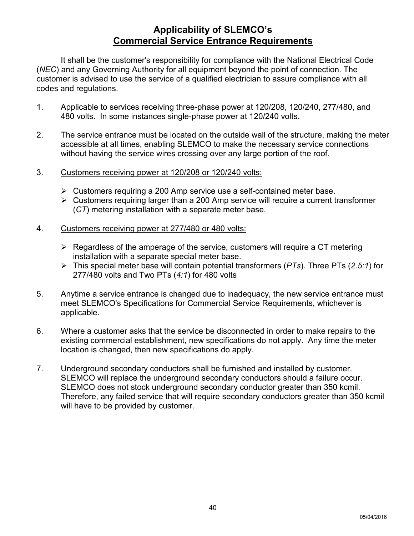# **Applicability of SLEMCO's Commercial Service Entrance Requirements**

It shall be the customer's responsibility for compliance with the National Electrical Code (*NEC*) and any Governing Authority for all equipment beyond the point of connection. The customer is advised to use the service of a qualified electrician to assure compliance with all codes and regulations.

- 1. Applicable to services receiving three-phase power at 120/208, 120/240, 277/480, and 480 volts. In some instances single-phase power at 120/240 volts.
- 2. The service entrance must be located on the outside wall of the structure, making the meter accessible at all times, enabling SLEMCO to make the necessary service connections without having the service wires crossing over any large portion of the roof.
- 3. Customers receiving power at 120/208 or 120/240 volts:
	- $\triangleright$  Customers requiring a 200 Amp service use a self-contained meter base.
	- Customers requiring larger than a 200 Amp service will require a current transformer (*CT*) metering installation with a separate meter base.
- 4. Customers receiving power at 277/480 or 480 volts:
	- $\triangleright$  Regardless of the amperage of the service, customers will require a CT metering installation with a separate special meter base.
	- This special meter base will contain potential transformers (*PTs*). Three PTs (*2.5:1*) for 277/480 volts and Two PTs (*4:1*) for 480 volts
- 5. Anytime a service entrance is changed due to inadequacy, the new service entrance must meet SLEMCO's Specifications for Commercial Service Requirements, whichever is applicable.
- 6. Where a customer asks that the service be disconnected in order to make repairs to the existing commercial establishment, new specifications do not apply. Any time the meter location is changed, then new specifications do apply.
- 7. Underground secondary conductors shall be furnished and installed by customer. SLEMCO will replace the underground secondary conductors should a failure occur. SLEMCO does not stock underground secondary conductor greater than 350 kcmil. Therefore, any failed service that will require secondary conductors greater than 350 kcmil will have to be provided by customer.